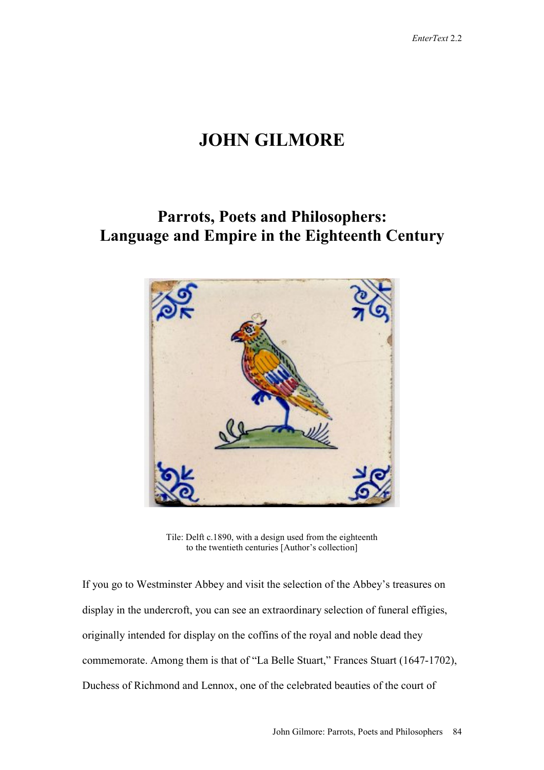# **JOHN GILMORE**

## **Parrots, Poets and Philosophers: Language and Empire in the Eighteenth Century**



Tile: Delft c.1890, with a design used from the eighteenth to the twentieth centuries [Author's collection]

If you go to Westminster Abbey and visit the selection of the Abbey's treasures on display in the undercroft, you can see an extraordinary selection of funeral effigies, originally intended for display on the coffins of the royal and noble dead they commemorate. Among them is that of "La Belle Stuart," Frances Stuart (1647-1702), Duchess of Richmond and Lennox, one of the celebrated beauties of the court of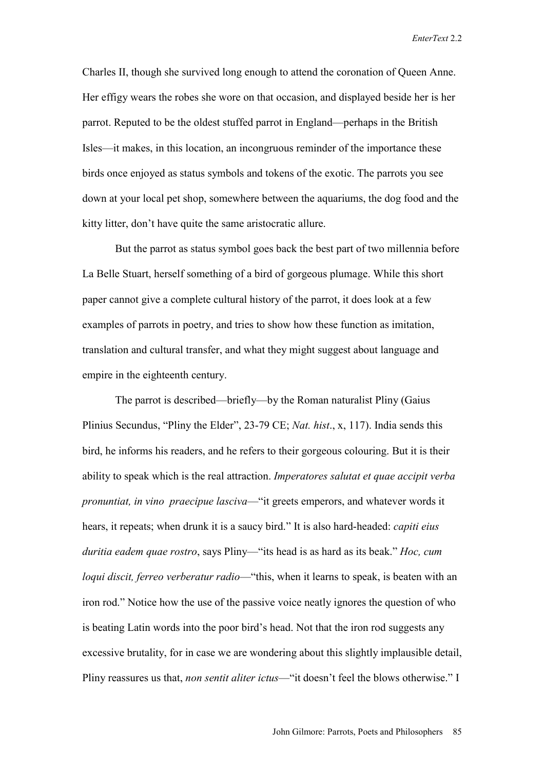Charles II, though she survived long enough to attend the coronation of Queen Anne. Her effigy wears the robes she wore on that occasion, and displayed beside her is her parrot. Reputed to be the oldest stuffed parrot in England—perhaps in the British Isles—it makes, in this location, an incongruous reminder of the importance these birds once enjoyed as status symbols and tokens of the exotic. The parrots you see down at your local pet shop, somewhere between the aquariums, the dog food and the kitty litter, don't have quite the same aristocratic allure.

But the parrot as status symbol goes back the best part of two millennia before La Belle Stuart, herself something of a bird of gorgeous plumage. While this short paper cannot give a complete cultural history of the parrot, it does look at a few examples of parrots in poetry, and tries to show how these function as imitation, translation and cultural transfer, and what they might suggest about language and empire in the eighteenth century.

The parrot is described—briefly—by the Roman naturalist Pliny (Gaius Plinius Secundus, "Pliny the Elder", 23-79 CE; *Nat. hist*., x, 117). India sends this bird, he informs his readers, and he refers to their gorgeous colouring. But it is their ability to speak which is the real attraction. *Imperatores salutat et quae accipit verba pronuntiat, in vino praecipue lasciva*—"it greets emperors, and whatever words it hears, it repeats; when drunk it is a saucy bird." It is also hard-headed: *capiti eius duritia eadem quae rostro*, says Pliny—"its head is as hard as its beak." *Hoc, cum loqui discit, ferreo verberatur radio*—"this, when it learns to speak, is beaten with an iron rod." Notice how the use of the passive voice neatly ignores the question of who is beating Latin words into the poor bird's head. Not that the iron rod suggests any excessive brutality, for in case we are wondering about this slightly implausible detail, Pliny reassures us that, *non sentit aliter ictus*—"it doesn't feel the blows otherwise." I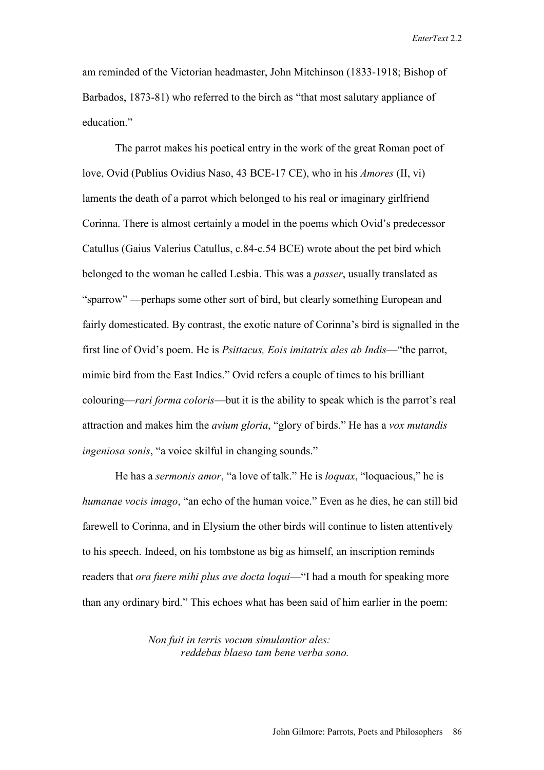am reminded of the Victorian headmaster, John Mitchinson (1833-1918; Bishop of Barbados, 1873-81) who referred to the birch as "that most salutary appliance of education."

The parrot makes his poetical entry in the work of the great Roman poet of love, Ovid (Publius Ovidius Naso, 43 BCE-17 CE), who in his *Amores* (II, vi) laments the death of a parrot which belonged to his real or imaginary girlfriend Corinna. There is almost certainly a model in the poems which Ovid's predecessor Catullus (Gaius Valerius Catullus, c.84-c.54 BCE) wrote about the pet bird which belonged to the woman he called Lesbia. This was a *passer*, usually translated as "sparrow" —perhaps some other sort of bird, but clearly something European and fairly domesticated. By contrast, the exotic nature of Corinna's bird is signalled in the first line of Ovid's poem. He is *Psittacus, Eois imitatrix ales ab Indis*—"the parrot, mimic bird from the East Indies." Ovid refers a couple of times to his brilliant colouring—*rari forma coloris*—but it is the ability to speak which is the parrot's real attraction and makes him the *avium gloria*, "glory of birds." He has a *vox mutandis ingeniosa sonis*, "a voice skilful in changing sounds."

He has a *sermonis amor*, "a love of talk." He is *loquax*, "loquacious," he is *humanae vocis imago*, "an echo of the human voice." Even as he dies, he can still bid farewell to Corinna, and in Elysium the other birds will continue to listen attentively to his speech. Indeed, on his tombstone as big as himself, an inscription reminds readers that *ora fuere mihi plus ave docta loqui*—"I had a mouth for speaking more than any ordinary bird." This echoes what has been said of him earlier in the poem:

> *Non fuit in terris vocum simulantior ales: reddebas blaeso tam bene verba sono.*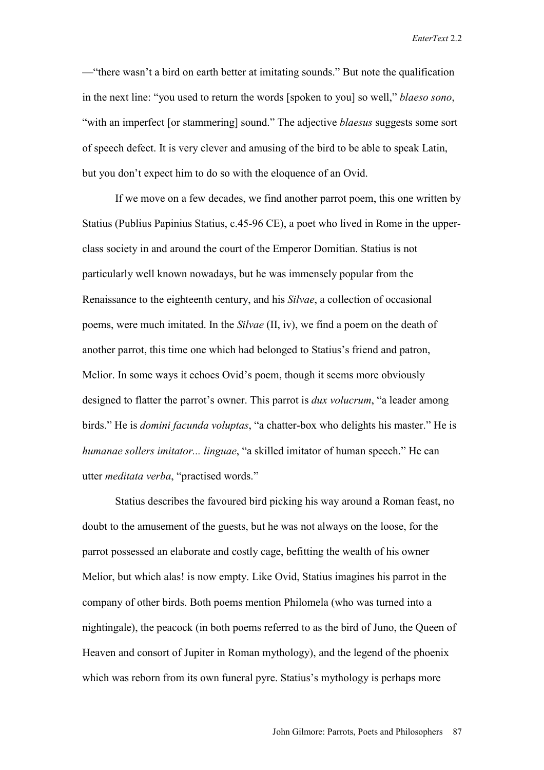—"there wasn't a bird on earth better at imitating sounds." But note the qualification in the next line: "you used to return the words [spoken to you] so well," *blaeso sono*, "with an imperfect [or stammering] sound." The adjective *blaesus* suggests some sort of speech defect. It is very clever and amusing of the bird to be able to speak Latin, but you don't expect him to do so with the eloquence of an Ovid.

If we move on a few decades, we find another parrot poem, this one written by Statius (Publius Papinius Statius, c.45-96 CE), a poet who lived in Rome in the upperclass society in and around the court of the Emperor Domitian. Statius is not particularly well known nowadays, but he was immensely popular from the Renaissance to the eighteenth century, and his *Silvae*, a collection of occasional poems, were much imitated. In the *Silvae* (II, iv), we find a poem on the death of another parrot, this time one which had belonged to Statius's friend and patron, Melior. In some ways it echoes Ovid's poem, though it seems more obviously designed to flatter the parrot's owner. This parrot is *dux volucrum*, "a leader among birds." He is *domini facunda voluptas*, "a chatter-box who delights his master." He is *humanae sollers imitator... linguae*, "a skilled imitator of human speech." He can utter *meditata verba*, "practised words."

Statius describes the favoured bird picking his way around a Roman feast, no doubt to the amusement of the guests, but he was not always on the loose, for the parrot possessed an elaborate and costly cage, befitting the wealth of his owner Melior, but which alas! is now empty. Like Ovid, Statius imagines his parrot in the company of other birds. Both poems mention Philomela (who was turned into a nightingale), the peacock (in both poems referred to as the bird of Juno, the Queen of Heaven and consort of Jupiter in Roman mythology), and the legend of the phoenix which was reborn from its own funeral pyre. Statius's mythology is perhaps more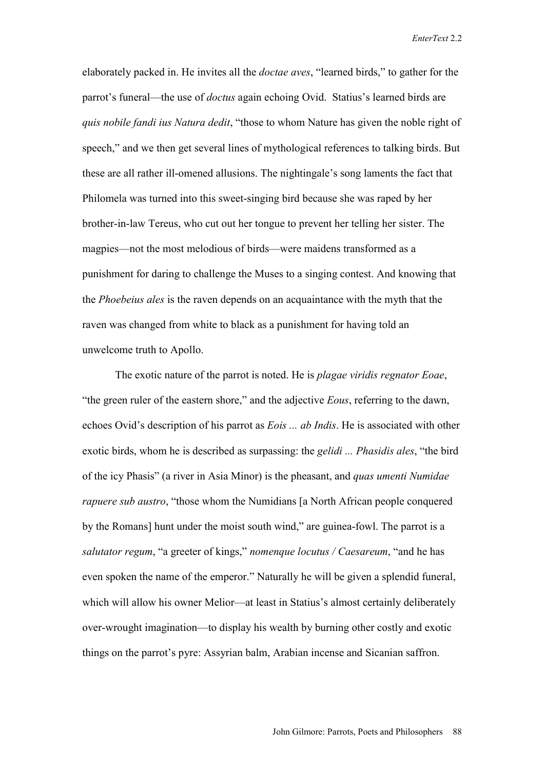elaborately packed in. He invites all the *doctae aves*, "learned birds," to gather for the parrot's funeral—the use of *doctus* again echoing Ovid. Statius's learned birds are *quis nobile fandi ius Natura dedit*, "those to whom Nature has given the noble right of speech," and we then get several lines of mythological references to talking birds. But these are all rather ill-omened allusions. The nightingale's song laments the fact that Philomela was turned into this sweet-singing bird because she was raped by her brother-in-law Tereus, who cut out her tongue to prevent her telling her sister. The magpies—not the most melodious of birds—were maidens transformed as a punishment for daring to challenge the Muses to a singing contest. And knowing that the *Phoebeius ales* is the raven depends on an acquaintance with the myth that the raven was changed from white to black as a punishment for having told an unwelcome truth to Apollo.

The exotic nature of the parrot is noted. He is *plagae viridis regnator Eoae*, "the green ruler of the eastern shore," and the adjective *Eous*, referring to the dawn, echoes Ovid's description of his parrot as *Eois ... ab Indis*. He is associated with other exotic birds, whom he is described as surpassing: the *gelidi ... Phasidis ales*, "the bird of the icy Phasis" (a river in Asia Minor) is the pheasant, and *quas umenti Numidae rapuere sub austro*, "those whom the Numidians [a North African people conquered by the Romans] hunt under the moist south wind," are guinea-fowl. The parrot is a *salutator regum*, "a greeter of kings," *nomenque locutus / Caesareum*, "and he has even spoken the name of the emperor." Naturally he will be given a splendid funeral, which will allow his owner Melior—at least in Statius's almost certainly deliberately over-wrought imagination—to display his wealth by burning other costly and exotic things on the parrot's pyre: Assyrian balm, Arabian incense and Sicanian saffron.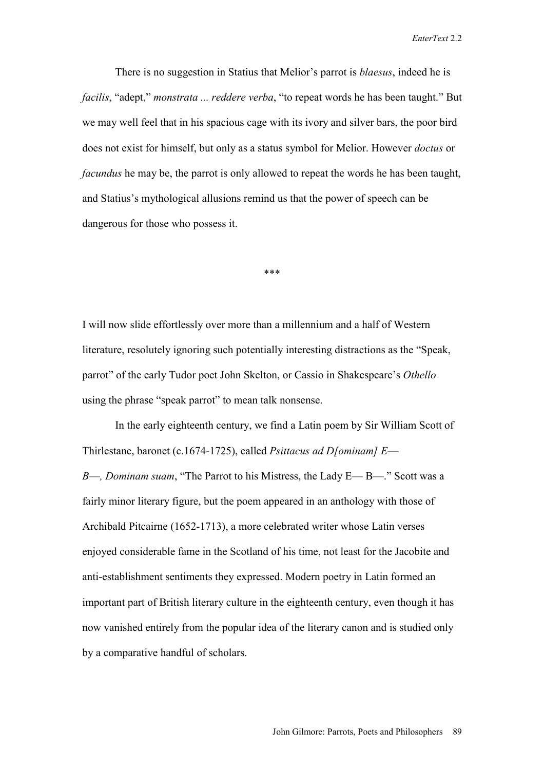There is no suggestion in Statius that Melior's parrot is *blaesus*, indeed he is *facilis*, "adept," *monstrata ... reddere verba*, "to repeat words he has been taught." But we may well feel that in his spacious cage with its ivory and silver bars, the poor bird does not exist for himself, but only as a status symbol for Melior. However *doctus* or *facundus* he may be, the parrot is only allowed to repeat the words he has been taught, and Statius's mythological allusions remind us that the power of speech can be dangerous for those who possess it.

\*\*\*

I will now slide effortlessly over more than a millennium and a half of Western literature, resolutely ignoring such potentially interesting distractions as the "Speak, parrot" of the early Tudor poet John Skelton, or Cassio in Shakespeare's *Othello* using the phrase "speak parrot" to mean talk nonsense.

In the early eighteenth century, we find a Latin poem by Sir William Scott of Thirlestane, baronet (c.1674-1725), called *Psittacus ad D[ominam] E*— *B*—*, Dominam suam*, "The Parrot to his Mistress, the Lady E— B—." Scott was a fairly minor literary figure, but the poem appeared in an anthology with those of Archibald Pitcairne (1652-1713), a more celebrated writer whose Latin verses enjoyed considerable fame in the Scotland of his time, not least for the Jacobite and anti-establishment sentiments they expressed. Modern poetry in Latin formed an important part of British literary culture in the eighteenth century, even though it has now vanished entirely from the popular idea of the literary canon and is studied only by a comparative handful of scholars.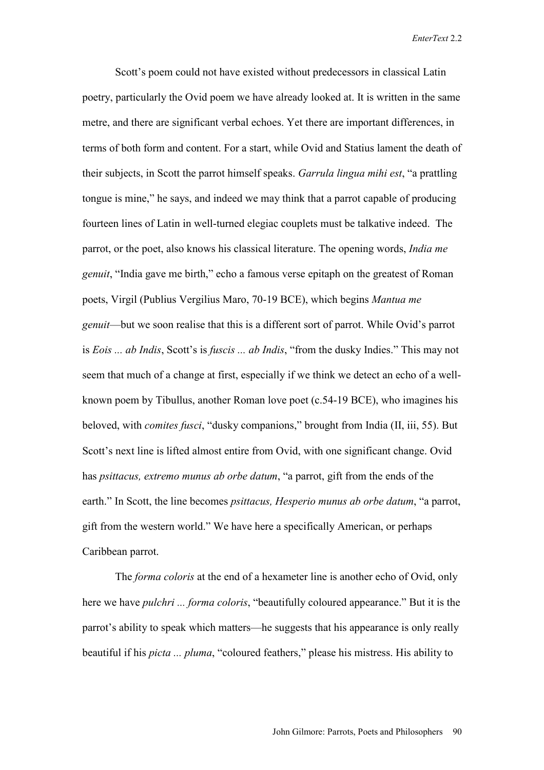Scott's poem could not have existed without predecessors in classical Latin poetry, particularly the Ovid poem we have already looked at. It is written in the same metre, and there are significant verbal echoes. Yet there are important differences, in terms of both form and content. For a start, while Ovid and Statius lament the death of their subjects, in Scott the parrot himself speaks. *Garrula lingua mihi est*, "a prattling tongue is mine," he says, and indeed we may think that a parrot capable of producing fourteen lines of Latin in well-turned elegiac couplets must be talkative indeed. The parrot, or the poet, also knows his classical literature. The opening words, *India me genuit*, "India gave me birth," echo a famous verse epitaph on the greatest of Roman poets, Virgil (Publius Vergilius Maro, 70-19 BCE), which begins *Mantua me genuit*—but we soon realise that this is a different sort of parrot. While Ovid's parrot is *Eois ... ab Indis*, Scott's is *fuscis ... ab Indis*, "from the dusky Indies." This may not seem that much of a change at first, especially if we think we detect an echo of a wellknown poem by Tibullus, another Roman love poet (c.54-19 BCE), who imagines his beloved, with *comites fusci*, "dusky companions," brought from India (II, iii, 55). But Scott's next line is lifted almost entire from Ovid, with one significant change. Ovid has *psittacus, extremo munus ab orbe datum*, "a parrot, gift from the ends of the earth." In Scott, the line becomes *psittacus, Hesperio munus ab orbe datum*, "a parrot, gift from the western world." We have here a specifically American, or perhaps Caribbean parrot.

The *forma coloris* at the end of a hexameter line is another echo of Ovid, only here we have *pulchri ... forma coloris*, "beautifully coloured appearance." But it is the parrot's ability to speak which matters—he suggests that his appearance is only really beautiful if his *picta ... pluma*, "coloured feathers," please his mistress. His ability to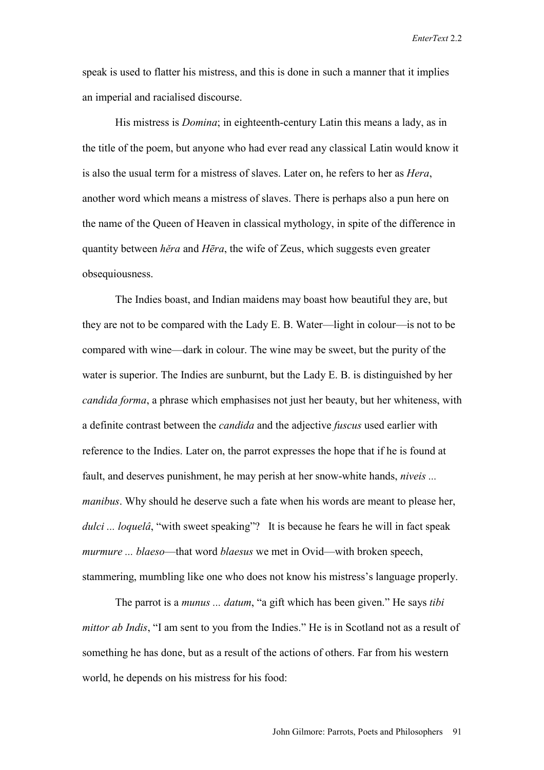speak is used to flatter his mistress, and this is done in such a manner that it implies an imperial and racialised discourse.

His mistress is *Domina*; in eighteenth-century Latin this means a lady, as in the title of the poem, but anyone who had ever read any classical Latin would know it is also the usual term for a mistress of slaves. Later on, he refers to her as *Hera*, another word which means a mistress of slaves. There is perhaps also a pun here on the name of the Queen of Heaven in classical mythology, in spite of the difference in quantity between *hěra* and *Hēra*, the wife of Zeus, which suggests even greater obsequiousness.

The Indies boast, and Indian maidens may boast how beautiful they are, but they are not to be compared with the Lady E. B. Water—light in colour—is not to be compared with wine—dark in colour. The wine may be sweet, but the purity of the water is superior. The Indies are sunburnt, but the Lady E. B. is distinguished by her *candida forma*, a phrase which emphasises not just her beauty, but her whiteness, with a definite contrast between the *candida* and the adjective *fuscus* used earlier with reference to the Indies. Later on, the parrot expresses the hope that if he is found at fault, and deserves punishment, he may perish at her snow-white hands, *niveis ... manibus*. Why should he deserve such a fate when his words are meant to please her, *dulci* ... *loquelâ*, "with sweet speaking"? It is because he fears he will in fact speak *murmure ... blaeso*—that word *blaesus* we met in Ovid—with broken speech, stammering, mumbling like one who does not know his mistress's language properly.

The parrot is a *munus ... datum*, "a gift which has been given." He says *tibi mittor ab Indis*, "I am sent to you from the Indies." He is in Scotland not as a result of something he has done, but as a result of the actions of others. Far from his western world, he depends on his mistress for his food: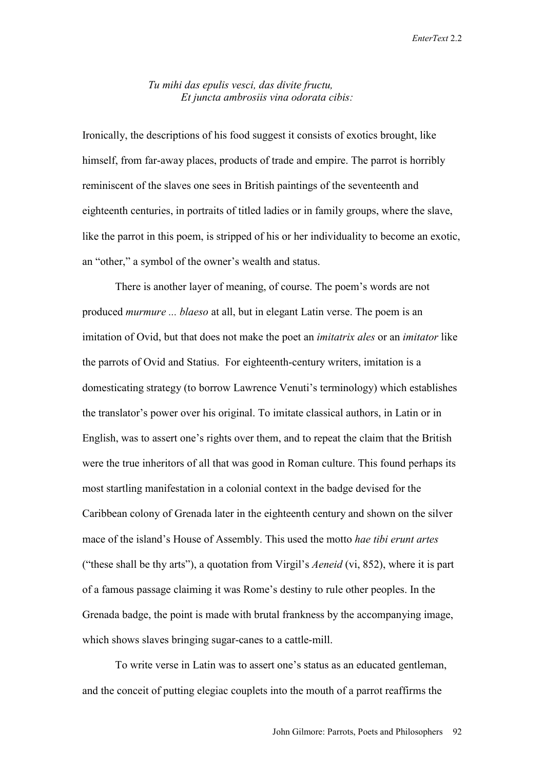#### *Tu mihi das epulis vesci, das divite fructu, Et juncta ambrosiis vina odorata cibis:*

Ironically, the descriptions of his food suggest it consists of exotics brought, like himself, from far-away places, products of trade and empire. The parrot is horribly reminiscent of the slaves one sees in British paintings of the seventeenth and eighteenth centuries, in portraits of titled ladies or in family groups, where the slave, like the parrot in this poem, is stripped of his or her individuality to become an exotic, an "other," a symbol of the owner's wealth and status.

There is another layer of meaning, of course. The poem's words are not produced *murmure ... blaeso* at all, but in elegant Latin verse. The poem is an imitation of Ovid, but that does not make the poet an *imitatrix ales* or an *imitator* like the parrots of Ovid and Statius. For eighteenth-century writers, imitation is a domesticating strategy (to borrow Lawrence Venuti's terminology) which establishes the translator's power over his original. To imitate classical authors, in Latin or in English, was to assert one's rights over them, and to repeat the claim that the British were the true inheritors of all that was good in Roman culture. This found perhaps its most startling manifestation in a colonial context in the badge devised for the Caribbean colony of Grenada later in the eighteenth century and shown on the silver mace of the island's House of Assembly. This used the motto *hae tibi erunt artes* ("these shall be thy arts"), a quotation from Virgil's *Aeneid* (vi, 852), where it is part of a famous passage claiming it was Rome's destiny to rule other peoples. In the Grenada badge, the point is made with brutal frankness by the accompanying image, which shows slaves bringing sugar-canes to a cattle-mill.

To write verse in Latin was to assert one's status as an educated gentleman, and the conceit of putting elegiac couplets into the mouth of a parrot reaffirms the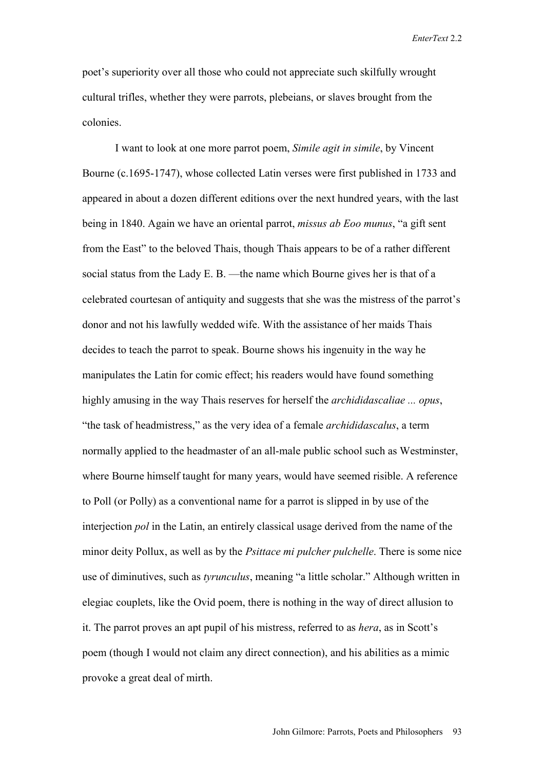poet's superiority over all those who could not appreciate such skilfully wrought cultural trifles, whether they were parrots, plebeians, or slaves brought from the colonies.

I want to look at one more parrot poem, *Simile agit in simile*, by Vincent Bourne (c.1695-1747), whose collected Latin verses were first published in 1733 and appeared in about a dozen different editions over the next hundred years, with the last being in 1840. Again we have an oriental parrot, *missus ab Eoo munus*, "a gift sent from the East" to the beloved Thais, though Thais appears to be of a rather different social status from the Lady E. B. —the name which Bourne gives her is that of a celebrated courtesan of antiquity and suggests that she was the mistress of the parrot's donor and not his lawfully wedded wife. With the assistance of her maids Thais decides to teach the parrot to speak. Bourne shows his ingenuity in the way he manipulates the Latin for comic effect; his readers would have found something highly amusing in the way Thais reserves for herself the *archididascaliae ... opus*, "the task of headmistress," as the very idea of a female *archididascalus*, a term normally applied to the headmaster of an all-male public school such as Westminster, where Bourne himself taught for many years, would have seemed risible. A reference to Poll (or Polly) as a conventional name for a parrot is slipped in by use of the interjection *pol* in the Latin, an entirely classical usage derived from the name of the minor deity Pollux, as well as by the *Psittace mi pulcher pulchelle*. There is some nice use of diminutives, such as *tyrunculus*, meaning "a little scholar." Although written in elegiac couplets, like the Ovid poem, there is nothing in the way of direct allusion to it. The parrot proves an apt pupil of his mistress, referred to as *hera*, as in Scott's poem (though I would not claim any direct connection), and his abilities as a mimic provoke a great deal of mirth.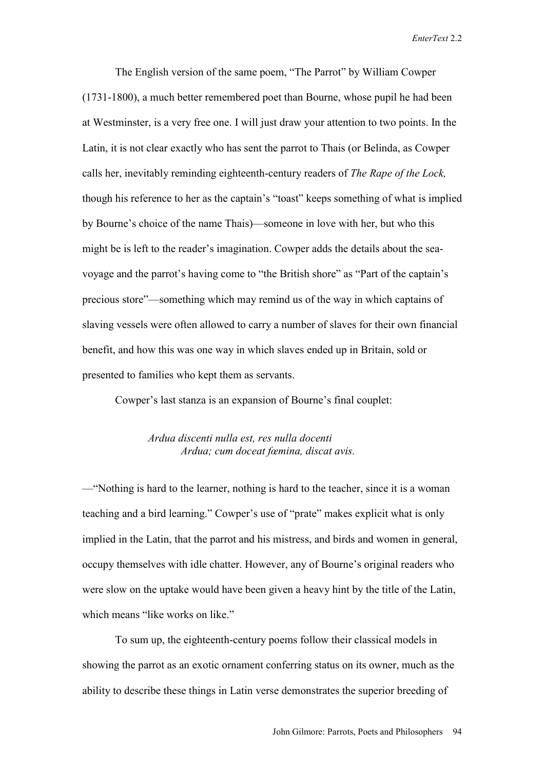The English version of the same poem, "The Parrot" by William Cowper (1731-1800), a much better remembered poet than Bourne, whose pupil he had been at Westminster, is a very free one. I will just draw your attention to two points. In the Latin, it is not clear exactly who has sent the parrot to Thais (or Belinda, as Cowper calls her, inevitably reminding eighteenth-century readers of *The Rape of the Lock,*  though his reference to her as the captain's "toast" keeps something of what is implied by Bourne's choice of the name Thais)—someone in love with her, but who this might be is left to the reader's imagination. Cowper adds the details about the seavoyage and the parrot's having come to "the British shore" as "Part of the captain's precious store"—something which may remind us of the way in which captains of slaving vessels were often allowed to carry a number of slaves for their own financial benefit, and how this was one way in which slaves ended up in Britain, sold or presented to families who kept them as servants.

Cowper's last stanza is an expansion of Bourne's final couplet:

#### *Ardua discenti nulla est, res nulla docenti Ardua; cum doceat fœmina, discat avis.*

—"Nothing is hard to the learner, nothing is hard to the teacher, since it is a woman teaching and a bird learning." Cowper's use of "prate" makes explicit what is only implied in the Latin, that the parrot and his mistress, and birds and women in general, occupy themselves with idle chatter. However, any of Bourne's original readers who were slow on the uptake would have been given a heavy hint by the title of the Latin, which means "like works on like."

To sum up, the eighteenth-century poems follow their classical models in showing the parrot as an exotic ornament conferring status on its owner, much as the ability to describe these things in Latin verse demonstrates the superior breeding of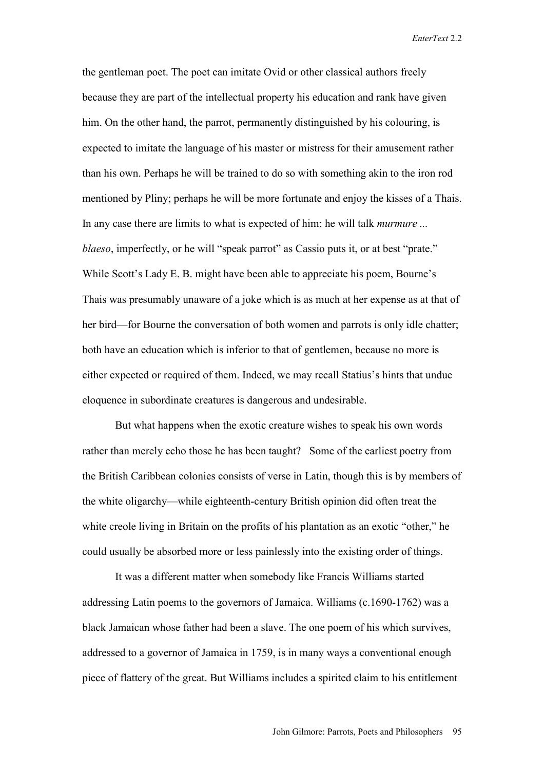the gentleman poet. The poet can imitate Ovid or other classical authors freely because they are part of the intellectual property his education and rank have given him. On the other hand, the parrot, permanently distinguished by his colouring, is expected to imitate the language of his master or mistress for their amusement rather than his own. Perhaps he will be trained to do so with something akin to the iron rod mentioned by Pliny; perhaps he will be more fortunate and enjoy the kisses of a Thais. In any case there are limits to what is expected of him: he will talk *murmure ... blaeso*, imperfectly, or he will "speak parrot" as Cassio puts it, or at best "prate." While Scott's Lady E. B. might have been able to appreciate his poem, Bourne's Thais was presumably unaware of a joke which is as much at her expense as at that of her bird—for Bourne the conversation of both women and parrots is only idle chatter; both have an education which is inferior to that of gentlemen, because no more is either expected or required of them. Indeed, we may recall Statius's hints that undue eloquence in subordinate creatures is dangerous and undesirable.

But what happens when the exotic creature wishes to speak his own words rather than merely echo those he has been taught? Some of the earliest poetry from the British Caribbean colonies consists of verse in Latin, though this is by members of the white oligarchy—while eighteenth-century British opinion did often treat the white creole living in Britain on the profits of his plantation as an exotic "other," he could usually be absorbed more or less painlessly into the existing order of things.

It was a different matter when somebody like Francis Williams started addressing Latin poems to the governors of Jamaica. Williams (c.1690-1762) was a black Jamaican whose father had been a slave. The one poem of his which survives, addressed to a governor of Jamaica in 1759, is in many ways a conventional enough piece of flattery of the great. But Williams includes a spirited claim to his entitlement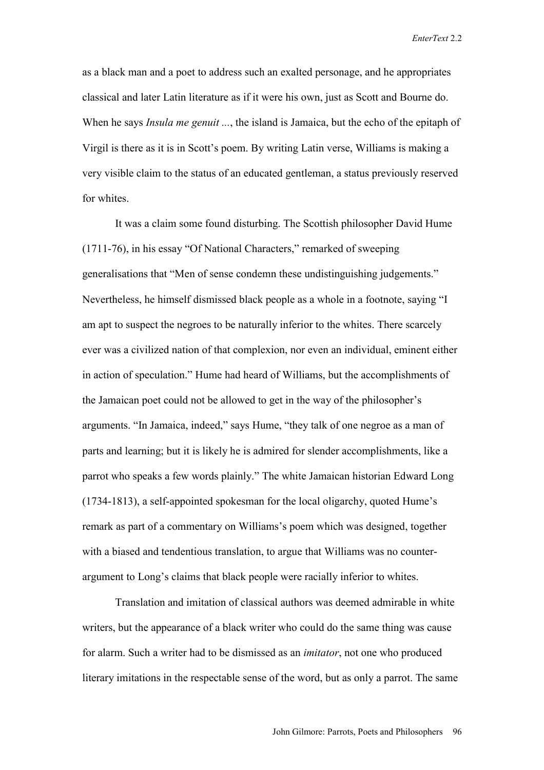as a black man and a poet to address such an exalted personage, and he appropriates classical and later Latin literature as if it were his own, just as Scott and Bourne do. When he says *Insula me genuit ...*, the island is Jamaica, but the echo of the epitaph of Virgil is there as it is in Scott's poem. By writing Latin verse, Williams is making a very visible claim to the status of an educated gentleman, a status previously reserved for whites.

It was a claim some found disturbing. The Scottish philosopher David Hume (1711-76), in his essay "Of National Characters," remarked of sweeping generalisations that "Men of sense condemn these undistinguishing judgements." Nevertheless, he himself dismissed black people as a whole in a footnote, saying "I am apt to suspect the negroes to be naturally inferior to the whites. There scarcely ever was a civilized nation of that complexion, nor even an individual, eminent either in action of speculation." Hume had heard of Williams, but the accomplishments of the Jamaican poet could not be allowed to get in the way of the philosopher's arguments. "In Jamaica, indeed," says Hume, "they talk of one negroe as a man of parts and learning; but it is likely he is admired for slender accomplishments, like a parrot who speaks a few words plainly." The white Jamaican historian Edward Long (1734-1813), a self-appointed spokesman for the local oligarchy, quoted Hume's remark as part of a commentary on Williams's poem which was designed, together with a biased and tendentious translation, to argue that Williams was no counterargument to Long's claims that black people were racially inferior to whites.

Translation and imitation of classical authors was deemed admirable in white writers, but the appearance of a black writer who could do the same thing was cause for alarm. Such a writer had to be dismissed as an *imitator*, not one who produced literary imitations in the respectable sense of the word, but as only a parrot. The same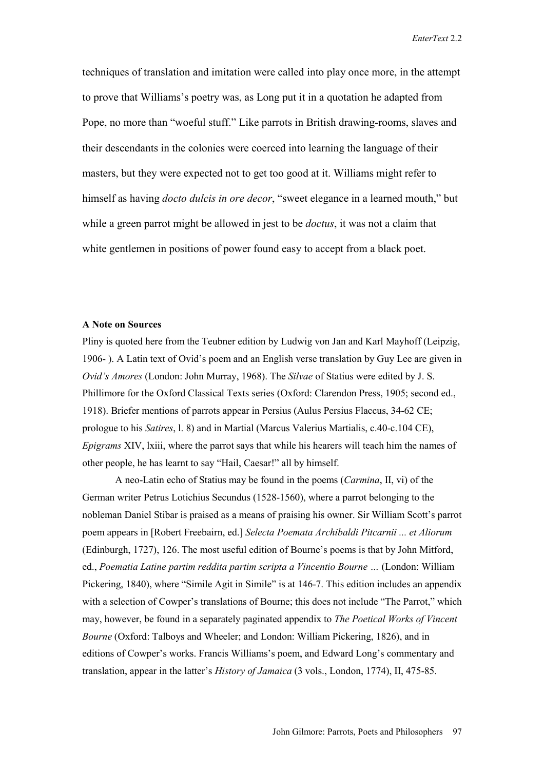techniques of translation and imitation were called into play once more, in the attempt to prove that Williams's poetry was, as Long put it in a quotation he adapted from Pope, no more than "woeful stuff." Like parrots in British drawing-rooms, slaves and their descendants in the colonies were coerced into learning the language of their masters, but they were expected not to get too good at it. Williams might refer to himself as having *docto dulcis in ore decor*, "sweet elegance in a learned mouth," but while a green parrot might be allowed in jest to be *doctus*, it was not a claim that white gentlemen in positions of power found easy to accept from a black poet.

#### **A Note on Sources**

Pliny is quoted here from the Teubner edition by Ludwig von Jan and Karl Mayhoff (Leipzig, 1906- ). A Latin text of Ovid's poem and an English verse translation by Guy Lee are given in *Ovid's Amores* (London: John Murray, 1968). The *Silvae* of Statius were edited by J. S. Phillimore for the Oxford Classical Texts series (Oxford: Clarendon Press, 1905; second ed., 1918). Briefer mentions of parrots appear in Persius (Aulus Persius Flaccus, 34-62 CE; prologue to his *Satires*, l. 8) and in Martial (Marcus Valerius Martialis, c.40-c.104 CE), *Epigrams* XIV, lxiii, where the parrot says that while his hearers will teach him the names of other people, he has learnt to say "Hail, Caesar!" all by himself.

 A neo-Latin echo of Statius may be found in the poems (*Carmina*, II, vi) of the German writer Petrus Lotichius Secundus (1528-1560), where a parrot belonging to the nobleman Daniel Stibar is praised as a means of praising his owner. Sir William Scott's parrot poem appears in [Robert Freebairn, ed.] *Selecta Poemata Archibaldi Pitcarnii ... et Aliorum* (Edinburgh, 1727), 126. The most useful edition of Bourne's poems is that by John Mitford, ed., *Poematia Latine partim reddita partim scripta a Vincentio Bourne …* (London: William Pickering, 1840), where "Simile Agit in Simile" is at 146-7. This edition includes an appendix with a selection of Cowper's translations of Bourne; this does not include "The Parrot," which may, however, be found in a separately paginated appendix to *The Poetical Works of Vincent Bourne* (Oxford: Talboys and Wheeler; and London: William Pickering, 1826), and in editions of Cowper's works. Francis Williams's poem, and Edward Long's commentary and translation, appear in the latter's *History of Jamaica* (3 vols., London, 1774), II, 475-85.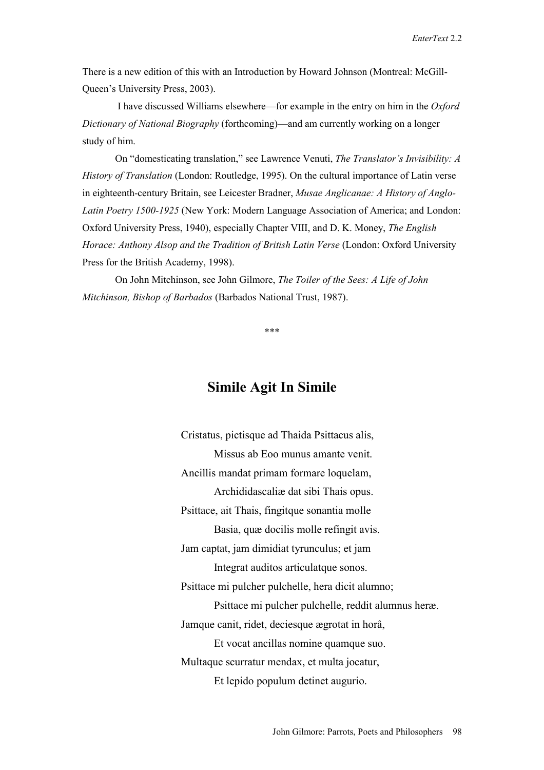There is a new edition of this with an Introduction by Howard Johnson (Montreal: McGill-Queen's University Press, 2003).

 I have discussed Williams elsewhere—for example in the entry on him in the *Oxford Dictionary of National Biography* (forthcoming)—and am currently working on a longer study of him.

On "domesticating translation," see Lawrence Venuti, *The Translator's Invisibility: A History of Translation* (London: Routledge, 1995). On the cultural importance of Latin verse in eighteenth-century Britain, see Leicester Bradner, *Musae Anglicanae: A History of Anglo-Latin Poetry 1500-1925* (New York: Modern Language Association of America; and London: Oxford University Press, 1940), especially Chapter VIII, and D. K. Money, *The English Horace: Anthony Alsop and the Tradition of British Latin Verse (London: Oxford University* Press for the British Academy, 1998).

On John Mitchinson, see John Gilmore, *The Toiler of the Sees: A Life of John Mitchinson, Bishop of Barbados* (Barbados National Trust, 1987).

\*\*\*

### **Simile Agit In Simile**

Cristatus, pictisque ad Thaida Psittacus alis, Missus ab Eoo munus amante venit. Ancillis mandat primam formare loquelam, Archididascaliæ dat sibi Thais opus. Psittace, ait Thais, fingitque sonantia molle Basia, quæ docilis molle refingit avis. Jam captat, jam dimidiat tyrunculus; et jam Integrat auditos articulatque sonos. Psittace mi pulcher pulchelle, hera dicit alumno; Psittace mi pulcher pulchelle, reddit alumnus heræ. Jamque canit, ridet, deciesque ægrotat in horâ, Et vocat ancillas nomine quamque suo. Multaque scurratur mendax, et multa jocatur, Et lepido populum detinet augurio.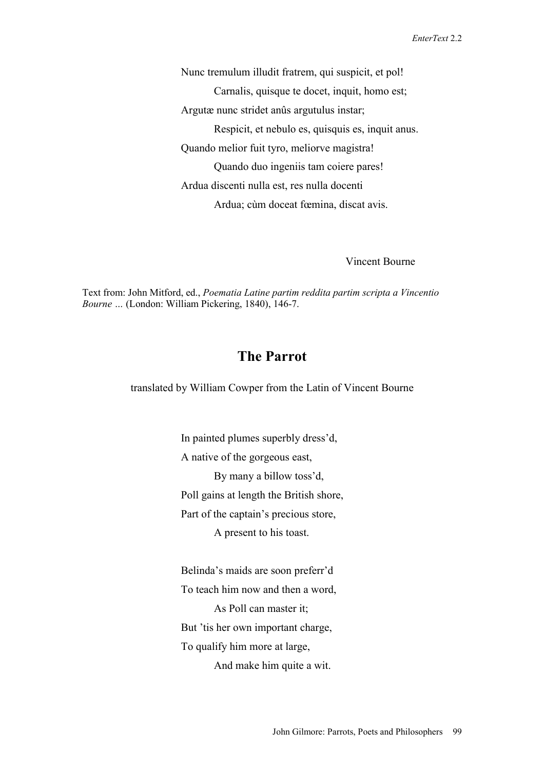Nunc tremulum illudit fratrem, qui suspicit, et pol! Carnalis, quisque te docet, inquit, homo est; Argutæ nunc stridet anûs argutulus instar; Respicit, et nebulo es, quisquis es, inquit anus. Quando melior fuit tyro, meliorve magistra! Quando duo ingeniis tam coiere pares! Ardua discenti nulla est, res nulla docenti Ardua; cùm doceat fœmina, discat avis.

#### Vincent Bourne

Text from: John Mitford, ed., *Poematia Latine partim reddita partim scripta a Vincentio Bourne …* (London: William Pickering, 1840), 146-7.

### **The Parrot**

translated by William Cowper from the Latin of Vincent Bourne

In painted plumes superbly dress'd, A native of the gorgeous east, By many a billow toss'd, Poll gains at length the British shore, Part of the captain's precious store, A present to his toast.

Belinda's maids are soon preferr'd To teach him now and then a word, As Poll can master it; But 'tis her own important charge, To qualify him more at large, And make him quite a wit.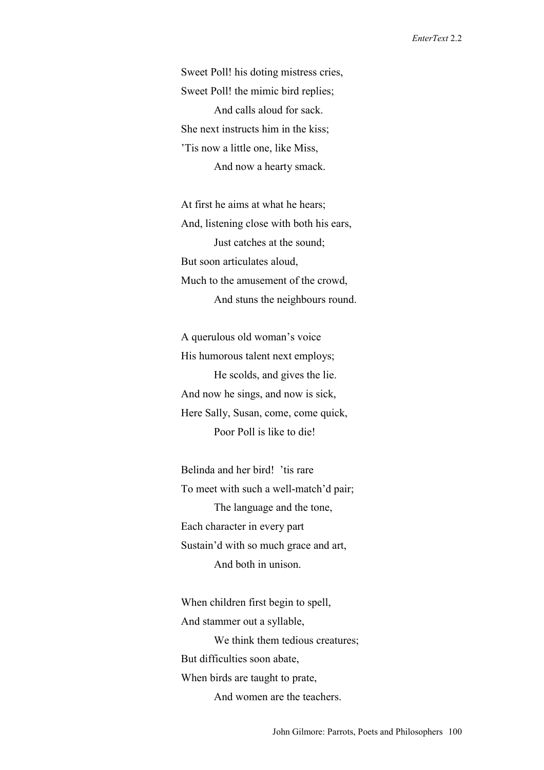Sweet Poll! his doting mistress cries, Sweet Poll! the mimic bird replies; And calls aloud for sack. She next instructs him in the kiss; 'Tis now a little one, like Miss, And now a hearty smack.

At first he aims at what he hears; And, listening close with both his ears, Just catches at the sound; But soon articulates aloud, Much to the amusement of the crowd, And stuns the neighbours round.

A querulous old woman's voice His humorous talent next employs; He scolds, and gives the lie. And now he sings, and now is sick, Here Sally, Susan, come, come quick, Poor Poll is like to die!

Belinda and her bird! 'tis rare To meet with such a well-match'd pair; The language and the tone, Each character in every part Sustain'd with so much grace and art, And both in unison.

When children first begin to spell, And stammer out a syllable, We think them tedious creatures; But difficulties soon abate, When birds are taught to prate, And women are the teachers.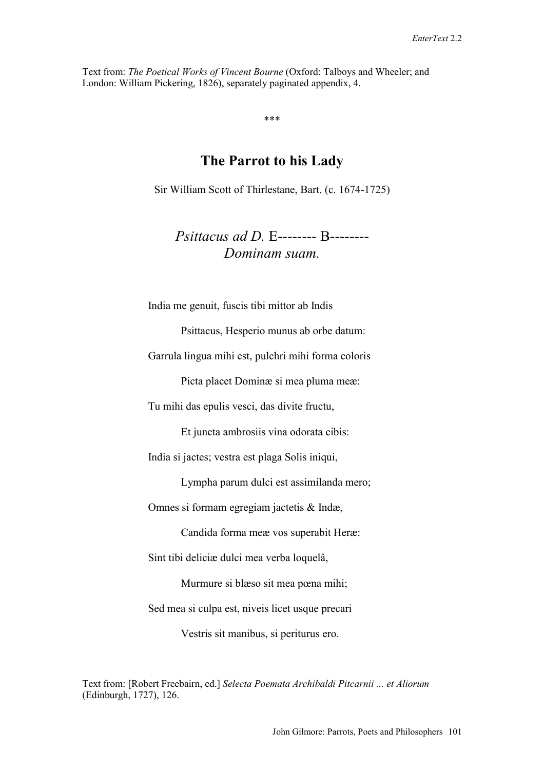Text from: *The Poetical Works of Vincent Bourne* (Oxford: Talboys and Wheeler; and London: William Pickering, 1826), separately paginated appendix, 4.

\*\*\*

### **The Parrot to his Lady**

Sir William Scott of Thirlestane, Bart. (c. 1674-1725)

*Psittacus ad D.* E-------- B-------- *Dominam suam.* 

India me genuit, fuscis tibi mittor ab Indis

Psittacus, Hesperio munus ab orbe datum:

Garrula lingua mihi est, pulchri mihi forma coloris

Picta placet Dominæ si mea pluma meæ:

Tu mihi das epulis vesci, das divite fructu,

Et juncta ambrosiis vina odorata cibis:

India si jactes; vestra est plaga Solis iniqui,

Lympha parum dulci est assimilanda mero;

Omnes si formam egregiam jactetis & Indæ,

Candida forma meæ vos superabit Heræ:

Sint tibi deliciæ dulci mea verba loquelâ,

Murmure si blæso sit mea pœna mihi;

Sed mea si culpa est, niveis licet usque precari

Vestris sit manibus, si periturus ero.

Text from: [Robert Freebairn, ed.] *Selecta Poemata Archibaldi Pitcarnii ... et Aliorum* (Edinburgh, 1727), 126.